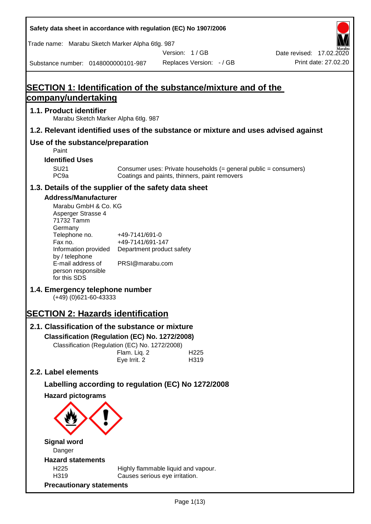**Safety data sheet in accordance with regulation (EC) No 1907/2006** Substance number: 0148000000101-987 Version: 1 / GB Replaces Version: - / GB Print date: 27.02.20 Date revised: 17.02.2020 Trade name: Marabu Sketch Marker Alpha 6tlg. 987 **SECTION 1: Identification of the substance/mixture and of the company/undertaking 1.1. Product identifier** Marabu Sketch Marker Alpha 6tlg. 987 **1.2. Relevant identified uses of the substance or mixture and uses advised against Use of the substance/preparation** Paint **Identified Uses** SU21 Consumer uses: Private households (= general public = consumers)<br>PC9a Coatings and paints, thinners, paint removers Coatings and paints, thinners, paint removers **1.3. Details of the supplier of the safety data sheet Address/Manufacturer** Marabu GmbH & Co. KG Asperger Strasse 4 71732 Tamm **Germany** Telephone no. +49-7141/691-0 Fax no.  $+49-7141/691-147$ Information provided Department product safety by / telephone E-mail address of person responsible for this SDS PRSI@marabu.com **1.4. Emergency telephone number** (+49) (0)621-60-43333 **SECTION 2: Hazards identification 2.1. Classification of the substance or mixture Classification (Regulation (EC) No. 1272/2008)** Classification (Regulation (EC) No. 1272/2008) Flam. Liq. 2 H225 Eye Irrit. 2 H319 **2.2. Label elements Labelling according to regulation (EC) No 1272/2008 Hazard pictograms Signal word** Danger **Hazard statements** H225 Highly flammable liquid and vapour. H319 Causes serious eye irritation. **Precautionary statements**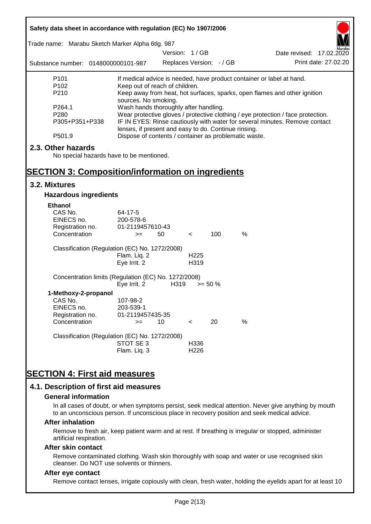| Safety data sheet in accordance with regulation (EC) No 1907/2006 |                                                       |                          |                  |            |                                                                                  |                          |
|-------------------------------------------------------------------|-------------------------------------------------------|--------------------------|------------------|------------|----------------------------------------------------------------------------------|--------------------------|
| Trade name: Marabu Sketch Marker Alpha 6tlg. 987                  |                                                       |                          |                  |            |                                                                                  |                          |
|                                                                   |                                                       | Version: 1/GB            |                  |            |                                                                                  | Date revised: 17.02.2020 |
| Substance number: 0148000000101-987                               |                                                       | Replaces Version: - / GB |                  |            |                                                                                  | Print date: 27.02.20     |
| P <sub>101</sub>                                                  |                                                       |                          |                  |            | If medical advice is needed, have product container or label at hand.            |                          |
| P <sub>102</sub>                                                  | Keep out of reach of children.                        |                          |                  |            |                                                                                  |                          |
| P210                                                              | sources. No smoking.                                  |                          |                  |            | Keep away from heat, hot surfaces, sparks, open flames and other ignition        |                          |
| P264.1                                                            | Wash hands thoroughly after handling.                 |                          |                  |            |                                                                                  |                          |
| P280                                                              |                                                       |                          |                  |            | Wear protective gloves / protective clothing / eye protection / face protection. |                          |
| P305+P351+P338                                                    | lenses, if present and easy to do. Continue rinsing.  |                          |                  |            | IF IN EYES: Rinse cautiously with water for several minutes. Remove contact      |                          |
| P501.9                                                            | Dispose of contents / container as problematic waste. |                          |                  |            |                                                                                  |                          |
| 2.3. Other hazards                                                |                                                       |                          |                  |            |                                                                                  |                          |
| No special hazards have to be mentioned.                          |                                                       |                          |                  |            |                                                                                  |                          |
|                                                                   |                                                       |                          |                  |            |                                                                                  |                          |
| <b>SECTION 3: Composition/information on ingredients</b>          |                                                       |                          |                  |            |                                                                                  |                          |
| 3.2. Mixtures                                                     |                                                       |                          |                  |            |                                                                                  |                          |
| <b>Hazardous ingredients</b>                                      |                                                       |                          |                  |            |                                                                                  |                          |
| <b>Ethanol</b>                                                    |                                                       |                          |                  |            |                                                                                  |                          |
| CAS No.                                                           | 64-17-5                                               |                          |                  |            |                                                                                  |                          |
| EINECS no.                                                        | 200-578-6                                             |                          |                  |            |                                                                                  |                          |
| Registration no.                                                  | 01-2119457610-43                                      |                          |                  |            |                                                                                  |                          |
| Concentration                                                     | $>=$                                                  | 50                       | $\lt$            | 100        | $\frac{0}{0}$                                                                    |                          |
| Classification (Regulation (EC) No. 1272/2008)                    |                                                       |                          |                  |            |                                                                                  |                          |
|                                                                   | Flam. Liq. 2                                          |                          | H <sub>225</sub> |            |                                                                                  |                          |
|                                                                   | Eye Irrit. 2                                          |                          | H319             |            |                                                                                  |                          |
| Concentration limits (Regulation (EC) No. 1272/2008)              |                                                       |                          |                  |            |                                                                                  |                          |
|                                                                   | Eye Irrit. 2                                          | H319                     |                  | $>= 50 \%$ |                                                                                  |                          |
| 1-Methoxy-2-propanol                                              |                                                       |                          |                  |            |                                                                                  |                          |
| CAS No.                                                           | 107-98-2                                              |                          |                  |            |                                                                                  |                          |
| EINECS no.                                                        | 203-539-1                                             |                          |                  |            |                                                                                  |                          |
| Registration no.                                                  | 01-2119457435-35                                      |                          |                  |            |                                                                                  |                          |
| Concentration                                                     | $>=$                                                  | 10                       | $\,<\,$          | 20         | %                                                                                |                          |
| Classification (Regulation (EC) No. 1272/2008)                    |                                                       |                          |                  |            |                                                                                  |                          |
|                                                                   | STOT SE 3                                             |                          | H336             |            |                                                                                  |                          |
|                                                                   | Flam. Liq. 3                                          |                          | H226             |            |                                                                                  |                          |
|                                                                   |                                                       |                          |                  |            |                                                                                  |                          |
| <b>SECTION 4: First aid measures</b>                              |                                                       |                          |                  |            |                                                                                  |                          |
| 4.1. Description of first aid measures                            |                                                       |                          |                  |            |                                                                                  |                          |

#### **General information**

In all cases of doubt, or when symptoms persist, seek medical attention. Never give anything by mouth to an unconscious person. If unconscious place in recovery position and seek medical advice.

#### **After inhalation**

Remove to fresh air, keep patient warm and at rest. If breathing is irregular or stopped, administer artificial respiration.

#### **After skin contact**

Remove contaminated clothing. Wash skin thoroughly with soap and water or use recognised skin cleanser. Do NOT use solvents or thinners.

# **After eye contact**

Remove contact lenses, irrigate copiously with clean, fresh water, holding the eyelids apart for at least 10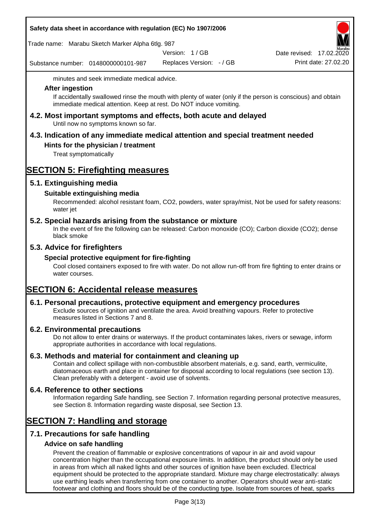|  |  |  | Safety data sheet in accordance with regulation (EC) No 1907/2006 |
|--|--|--|-------------------------------------------------------------------|
|--|--|--|-------------------------------------------------------------------|

Trade name: Marabu Sketch Marker Alpha 6tlg. 987

Version: 1 / GB

Substance number: 0148000000101-987

Replaces Version: - / GB Print date: 27.02.20 Date revised: 17.02.2020

minutes and seek immediate medical advice.

### **After ingestion**

If accidentally swallowed rinse the mouth with plenty of water (only if the person is conscious) and obtain immediate medical attention. Keep at rest. Do NOT induce vomiting.

**4.2. Most important symptoms and effects, both acute and delayed** Until now no symptoms known so far.

# **4.3. Indication of any immediate medical attention and special treatment needed**

# **Hints for the physician / treatment**

Treat symptomatically

# **SECTION 5: Firefighting measures**

# **5.1. Extinguishing media**

# **Suitable extinguishing media**

Recommended: alcohol resistant foam, CO2, powders, water spray/mist, Not be used for safety reasons: water jet

# **5.2. Special hazards arising from the substance or mixture**

In the event of fire the following can be released: Carbon monoxide (CO); Carbon dioxide (CO2); dense black smoke

# **5.3. Advice for firefighters**

# **Special protective equipment for fire-fighting**

Cool closed containers exposed to fire with water. Do not allow run-off from fire fighting to enter drains or water courses.

# **SECTION 6: Accidental release measures**

# **6.1. Personal precautions, protective equipment and emergency procedures**

Exclude sources of ignition and ventilate the area. Avoid breathing vapours. Refer to protective measures listed in Sections 7 and 8.

# **6.2. Environmental precautions**

Do not allow to enter drains or waterways. If the product contaminates lakes, rivers or sewage, inform appropriate authorities in accordance with local regulations.

# **6.3. Methods and material for containment and cleaning up**

Contain and collect spillage with non-combustible absorbent materials, e.g. sand, earth, vermiculite, diatomaceous earth and place in container for disposal according to local regulations (see section 13). Clean preferably with a detergent - avoid use of solvents.

# **6.4. Reference to other sections**

Information regarding Safe handling, see Section 7. Information regarding personal protective measures, see Section 8. Information regarding waste disposal, see Section 13.

# **SECTION 7: Handling and storage**

# **7.1. Precautions for safe handling**

# **Advice on safe handling**

Prevent the creation of flammable or explosive concentrations of vapour in air and avoid vapour concentration higher than the occupational exposure limits. In addition, the product should only be used in areas from which all naked lights and other sources of ignition have been excluded. Electrical equipment should be protected to the appropriate standard. Mixture may charge electrostatically: always use earthing leads when transferring from one container to another. Operators should wear anti-static footwear and clothing and floors should be of the conducting type. Isolate from sources of heat, sparks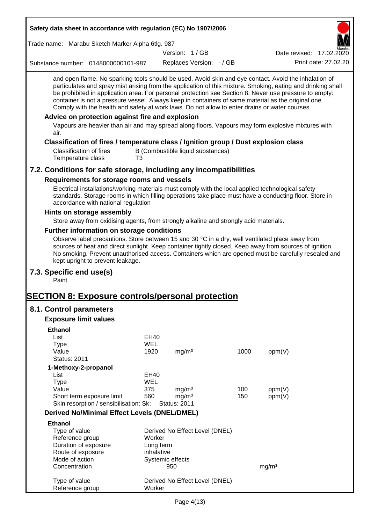| Safety data sheet in accordance with regulation (EC) No 1907/2006                                                                                                                                                                                                                                                                                                                                                                                                                                                                                                                                                                                                                                         |            |                     |                                   |      |                          |                      |
|-----------------------------------------------------------------------------------------------------------------------------------------------------------------------------------------------------------------------------------------------------------------------------------------------------------------------------------------------------------------------------------------------------------------------------------------------------------------------------------------------------------------------------------------------------------------------------------------------------------------------------------------------------------------------------------------------------------|------------|---------------------|-----------------------------------|------|--------------------------|----------------------|
| Trade name: Marabu Sketch Marker Alpha 6tlg. 987                                                                                                                                                                                                                                                                                                                                                                                                                                                                                                                                                                                                                                                          |            |                     |                                   |      |                          |                      |
|                                                                                                                                                                                                                                                                                                                                                                                                                                                                                                                                                                                                                                                                                                           |            | Version: 1/GB       |                                   |      | Date revised: 17.02.2020 |                      |
| Substance number: 0148000000101-987                                                                                                                                                                                                                                                                                                                                                                                                                                                                                                                                                                                                                                                                       |            |                     | Replaces Version: - / GB          |      |                          | Print date: 27.02.20 |
| and open flame. No sparking tools should be used. Avoid skin and eye contact. Avoid the inhalation of<br>particulates and spray mist arising from the application of this mixture. Smoking, eating and drinking shall<br>be prohibited in application area. For personal protection see Section 8. Never use pressure to empty:<br>container is not a pressure vessel. Always keep in containers of same material as the original one.<br>Comply with the health and safety at work laws. Do not allow to enter drains or water courses.<br>Advice on protection against fire and explosion<br>Vapours are heavier than air and may spread along floors. Vapours may form explosive mixtures with<br>air. |            |                     |                                   |      |                          |                      |
| Classification of fires / temperature class / Ignition group / Dust explosion class                                                                                                                                                                                                                                                                                                                                                                                                                                                                                                                                                                                                                       |            |                     |                                   |      |                          |                      |
| <b>Classification of fires</b><br>Temperature class<br>T3                                                                                                                                                                                                                                                                                                                                                                                                                                                                                                                                                                                                                                                 |            |                     | B (Combustible liquid substances) |      |                          |                      |
| 7.2. Conditions for safe storage, including any incompatibilities                                                                                                                                                                                                                                                                                                                                                                                                                                                                                                                                                                                                                                         |            |                     |                                   |      |                          |                      |
| Requirements for storage rooms and vessels                                                                                                                                                                                                                                                                                                                                                                                                                                                                                                                                                                                                                                                                |            |                     |                                   |      |                          |                      |
| Electrical installations/working materials must comply with the local applied technological safety<br>standards. Storage rooms in which filling operations take place must have a conducting floor. Store in<br>accordance with national regulation                                                                                                                                                                                                                                                                                                                                                                                                                                                       |            |                     |                                   |      |                          |                      |
| Hints on storage assembly                                                                                                                                                                                                                                                                                                                                                                                                                                                                                                                                                                                                                                                                                 |            |                     |                                   |      |                          |                      |
| Store away from oxidising agents, from strongly alkaline and strongly acid materials.                                                                                                                                                                                                                                                                                                                                                                                                                                                                                                                                                                                                                     |            |                     |                                   |      |                          |                      |
| Further information on storage conditions                                                                                                                                                                                                                                                                                                                                                                                                                                                                                                                                                                                                                                                                 |            |                     |                                   |      |                          |                      |
| Observe label precautions. Store between 15 and 30 °C in a dry, well ventilated place away from<br>sources of heat and direct sunlight. Keep container tightly closed. Keep away from sources of ignition.<br>No smoking. Prevent unauthorised access. Containers which are opened must be carefully resealed and<br>kept upright to prevent leakage.                                                                                                                                                                                                                                                                                                                                                     |            |                     |                                   |      |                          |                      |
| 7.3. Specific end use(s)<br>Paint                                                                                                                                                                                                                                                                                                                                                                                                                                                                                                                                                                                                                                                                         |            |                     |                                   |      |                          |                      |
| <b>SECTION 8: Exposure controls/personal protection</b>                                                                                                                                                                                                                                                                                                                                                                                                                                                                                                                                                                                                                                                   |            |                     |                                   |      |                          |                      |
| 8.1. Control parameters                                                                                                                                                                                                                                                                                                                                                                                                                                                                                                                                                                                                                                                                                   |            |                     |                                   |      |                          |                      |
| <b>Exposure limit values</b>                                                                                                                                                                                                                                                                                                                                                                                                                                                                                                                                                                                                                                                                              |            |                     |                                   |      |                          |                      |
| <b>Ethanol</b>                                                                                                                                                                                                                                                                                                                                                                                                                                                                                                                                                                                                                                                                                            |            |                     |                                   |      |                          |                      |
| List                                                                                                                                                                                                                                                                                                                                                                                                                                                                                                                                                                                                                                                                                                      | EH40       |                     |                                   |      |                          |                      |
| <b>Type</b>                                                                                                                                                                                                                                                                                                                                                                                                                                                                                                                                                                                                                                                                                               | <b>WEL</b> |                     |                                   |      |                          |                      |
| Value                                                                                                                                                                                                                                                                                                                                                                                                                                                                                                                                                                                                                                                                                                     | 1920       | mg/m <sup>3</sup>   |                                   | 1000 | ppm(V)                   |                      |
| <b>Status: 2011</b>                                                                                                                                                                                                                                                                                                                                                                                                                                                                                                                                                                                                                                                                                       |            |                     |                                   |      |                          |                      |
| 1-Methoxy-2-propanol<br>List                                                                                                                                                                                                                                                                                                                                                                                                                                                                                                                                                                                                                                                                              | EH40       |                     |                                   |      |                          |                      |
| <b>Type</b>                                                                                                                                                                                                                                                                                                                                                                                                                                                                                                                                                                                                                                                                                               | <b>WEL</b> |                     |                                   |      |                          |                      |
| Value                                                                                                                                                                                                                                                                                                                                                                                                                                                                                                                                                                                                                                                                                                     | 375        | mg/m <sup>3</sup>   |                                   | 100  | ppm(V)                   |                      |
| Short term exposure limit                                                                                                                                                                                                                                                                                                                                                                                                                                                                                                                                                                                                                                                                                 | 560        | mg/m <sup>3</sup>   |                                   | 150  | ppm(V)                   |                      |
| Skin resorption / sensibilisation: Sk;                                                                                                                                                                                                                                                                                                                                                                                                                                                                                                                                                                                                                                                                    |            | <b>Status: 2011</b> |                                   |      |                          |                      |
| <b>Derived No/Minimal Effect Levels (DNEL/DMEL)</b>                                                                                                                                                                                                                                                                                                                                                                                                                                                                                                                                                                                                                                                       |            |                     |                                   |      |                          |                      |
| <b>Ethanol</b>                                                                                                                                                                                                                                                                                                                                                                                                                                                                                                                                                                                                                                                                                            |            |                     |                                   |      |                          |                      |
| Type of value                                                                                                                                                                                                                                                                                                                                                                                                                                                                                                                                                                                                                                                                                             |            |                     | Derived No Effect Level (DNEL)    |      |                          |                      |
| Reference group                                                                                                                                                                                                                                                                                                                                                                                                                                                                                                                                                                                                                                                                                           | Worker     |                     |                                   |      |                          |                      |
| Duration of exposure                                                                                                                                                                                                                                                                                                                                                                                                                                                                                                                                                                                                                                                                                      |            | Long term           |                                   |      |                          |                      |
| Route of exposure<br>Mode of action                                                                                                                                                                                                                                                                                                                                                                                                                                                                                                                                                                                                                                                                       | inhalative | Systemic effects    |                                   |      |                          |                      |
| Concentration                                                                                                                                                                                                                                                                                                                                                                                                                                                                                                                                                                                                                                                                                             |            | 950                 |                                   |      | mg/m <sup>3</sup>        |                      |
|                                                                                                                                                                                                                                                                                                                                                                                                                                                                                                                                                                                                                                                                                                           |            |                     |                                   |      |                          |                      |
| Type of value<br>Reference group                                                                                                                                                                                                                                                                                                                                                                                                                                                                                                                                                                                                                                                                          | Worker     |                     | Derived No Effect Level (DNEL)    |      |                          |                      |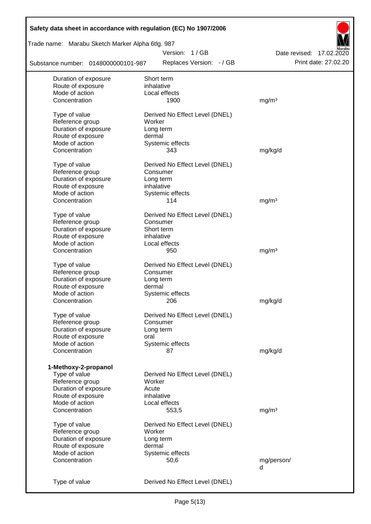| Safety data sheet in accordance with regulation (EC) No 1907/2006 |                                |                          |
|-------------------------------------------------------------------|--------------------------------|--------------------------|
| Trade name: Marabu Sketch Marker Alpha 6tlg. 987                  |                                |                          |
|                                                                   | Version: 1/GB                  | Date revised: 17.02.2020 |
| Substance number: 0148000000101-987                               | Replaces Version: - / GB       | Print date: 27.02.20     |
| Duration of exposure                                              | Short term                     |                          |
| Route of exposure                                                 | inhalative                     |                          |
| Mode of action                                                    | Local effects                  |                          |
| Concentration                                                     | 1900                           | mg/m <sup>3</sup>        |
| Type of value                                                     | Derived No Effect Level (DNEL) |                          |
| Reference group                                                   | Worker                         |                          |
| Duration of exposure                                              | Long term                      |                          |
| Route of exposure                                                 | dermal                         |                          |
| Mode of action                                                    | Systemic effects               |                          |
| Concentration                                                     | 343                            | mg/kg/d                  |
| Type of value                                                     | Derived No Effect Level (DNEL) |                          |
| Reference group                                                   | Consumer                       |                          |
| Duration of exposure                                              | Long term                      |                          |
| Route of exposure                                                 | inhalative                     |                          |
| Mode of action                                                    | Systemic effects               |                          |
| Concentration                                                     | 114                            | mg/m <sup>3</sup>        |
| Type of value                                                     | Derived No Effect Level (DNEL) |                          |
| Reference group                                                   | Consumer                       |                          |
| Duration of exposure                                              | Short term                     |                          |
| Route of exposure                                                 | inhalative                     |                          |
| Mode of action                                                    | Local effects                  |                          |
| Concentration                                                     | 950                            | mg/m <sup>3</sup>        |
|                                                                   |                                |                          |
| Type of value                                                     | Derived No Effect Level (DNEL) |                          |
| Reference group                                                   | Consumer                       |                          |
| Duration of exposure                                              | Long term                      |                          |
| Route of exposure                                                 | dermal                         |                          |
| Mode of action                                                    | Systemic effects               |                          |
| Concentration                                                     | 206                            | mg/kg/d                  |
| Type of value                                                     | Derived No Effect Level (DNEL) |                          |
| Reference group                                                   | Consumer                       |                          |
| Duration of exposure                                              | Long term                      |                          |
| Route of exposure                                                 | oral                           |                          |
| Mode of action                                                    | Systemic effects               |                          |
| Concentration                                                     | 87                             | mg/kg/d                  |
| 1-Methoxy-2-propanol                                              |                                |                          |
| Type of value                                                     | Derived No Effect Level (DNEL) |                          |
| Reference group                                                   | Worker                         |                          |
| Duration of exposure                                              | Acute                          |                          |
| Route of exposure                                                 | inhalative                     |                          |
| Mode of action                                                    | Local effects                  |                          |
| Concentration                                                     | 553,5                          | mg/m <sup>3</sup>        |
|                                                                   |                                |                          |
| Type of value                                                     | Derived No Effect Level (DNEL) |                          |
| Reference group                                                   | Worker                         |                          |
| Duration of exposure                                              | Long term                      |                          |
| Route of exposure                                                 | dermal                         |                          |
| Mode of action                                                    | Systemic effects               |                          |
| Concentration                                                     | 50,6                           | mg/person/               |
|                                                                   |                                | d                        |
| Type of value                                                     | Derived No Effect Level (DNEL) |                          |
|                                                                   |                                |                          |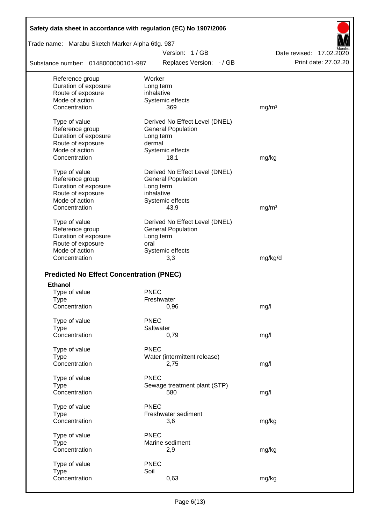| Safety data sheet in accordance with regulation (EC) No 1907/2006 |                                |                          |
|-------------------------------------------------------------------|--------------------------------|--------------------------|
| Trade name: Marabu Sketch Marker Alpha 6tlg. 987                  |                                |                          |
|                                                                   | Version: 1/GB                  | Date revised: 17,02,2020 |
| Substance number: 0148000000101-987                               | Replaces Version: - / GB       | Print date: 27,02.20     |
| Reference group                                                   | Worker                         |                          |
| Duration of exposure                                              | Long term                      |                          |
| Route of exposure                                                 | inhalative                     |                          |
| Mode of action                                                    | Systemic effects               |                          |
| Concentration                                                     | 369                            | mg/m <sup>3</sup>        |
| Type of value                                                     | Derived No Effect Level (DNEL) |                          |
| Reference group                                                   | <b>General Population</b>      |                          |
| Duration of exposure                                              | Long term                      |                          |
| Route of exposure                                                 | dermal                         |                          |
| Mode of action                                                    | Systemic effects               |                          |
| Concentration                                                     | 18,1                           | mg/kg                    |
| Type of value                                                     | Derived No Effect Level (DNEL) |                          |
| Reference group                                                   | <b>General Population</b>      |                          |
| Duration of exposure                                              | Long term                      |                          |
| Route of exposure                                                 | inhalative                     |                          |
| Mode of action                                                    | Systemic effects               |                          |
| Concentration                                                     | 43,9                           | mg/m <sup>3</sup>        |
| Type of value                                                     | Derived No Effect Level (DNEL) |                          |
| Reference group                                                   | <b>General Population</b>      |                          |
| Duration of exposure                                              | Long term                      |                          |
| Route of exposure                                                 | oral                           |                          |
| Mode of action                                                    | Systemic effects               |                          |
| Concentration                                                     | 3,3                            | mg/kg/d                  |
|                                                                   |                                |                          |
| <b>Predicted No Effect Concentration (PNEC)</b>                   |                                |                          |
| <b>Ethanol</b>                                                    |                                |                          |
| Type of value                                                     | <b>PNEC</b>                    |                          |
| Type                                                              | Freshwater                     |                          |
| Concentration                                                     | 0,96                           | mg/l                     |
| Type of value                                                     | <b>PNEC</b>                    |                          |
| <b>Type</b>                                                       | Saltwater                      |                          |
| Concentration                                                     | 0,79                           | mg/l                     |
| Type of value                                                     | <b>PNEC</b>                    |                          |
| <b>Type</b>                                                       | Water (intermittent release)   |                          |
| Concentration                                                     | 2,75                           | mg/l                     |
| Type of value                                                     | <b>PNEC</b>                    |                          |
| <b>Type</b>                                                       | Sewage treatment plant (STP)   |                          |
| Concentration                                                     | 580                            | mg/l                     |
| Type of value                                                     | <b>PNEC</b>                    |                          |
| <b>Type</b>                                                       | Freshwater sediment            |                          |
| Concentration                                                     | 3,6                            | mg/kg                    |
|                                                                   |                                |                          |
| Type of value                                                     | <b>PNEC</b>                    |                          |
| <b>Type</b>                                                       | Marine sediment                |                          |
| Concentration                                                     | 2,9                            | mg/kg                    |
| Type of value                                                     | <b>PNEC</b>                    |                          |
| <b>Type</b>                                                       | Soil                           |                          |
| Concentration                                                     | 0,63                           | mg/kg                    |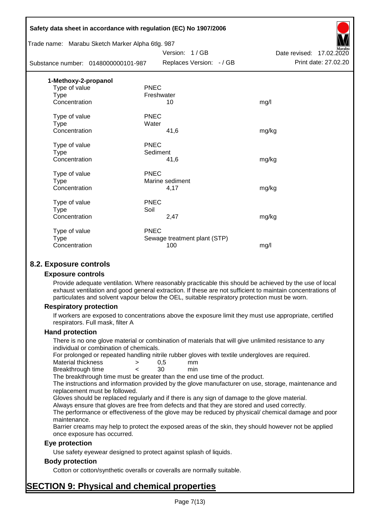| Trade name: Marabu Sketch Marker Alpha 6tlg. 987 | Safety data sheet in accordance with regulation (EC) No 1907/2006 |                          |
|--------------------------------------------------|-------------------------------------------------------------------|--------------------------|
|                                                  | Version: 1/GB                                                     | Date revised: 17.02.2020 |
| Substance number: 0148000000101-987              | Replaces Version: - / GB                                          | Print date: 27.02.20     |
| 1-Methoxy-2-propanol                             |                                                                   |                          |
| Type of value                                    | <b>PNEC</b>                                                       |                          |
| <b>Type</b>                                      | Freshwater                                                        |                          |
| Concentration                                    | 10                                                                | mg/l                     |
| Type of value                                    | <b>PNEC</b>                                                       |                          |
| <b>Type</b>                                      | Water                                                             |                          |
| Concentration                                    | 41,6                                                              | mg/kg                    |
| Type of value                                    | <b>PNEC</b>                                                       |                          |
| <b>Type</b>                                      | Sediment                                                          |                          |
| Concentration                                    | 41,6                                                              | mg/kg                    |
| Type of value                                    | <b>PNEC</b>                                                       |                          |
| Type                                             | Marine sediment                                                   |                          |
| Concentration                                    | 4,17                                                              | mg/kg                    |
| Type of value                                    | <b>PNEC</b>                                                       |                          |
| Type                                             | Soil                                                              |                          |
| Concentration                                    | 2,47                                                              | mg/kg                    |
| Type of value                                    | <b>PNEC</b>                                                       |                          |
| Type                                             | Sewage treatment plant (STP)                                      |                          |
| Concentration                                    | 100                                                               | mg/l                     |
|                                                  |                                                                   |                          |

# **8.2. Exposure controls**

#### **Exposure controls**

Provide adequate ventilation. Where reasonably practicable this should be achieved by the use of local exhaust ventilation and good general extraction. If these are not sufficient to maintain concentrations of particulates and solvent vapour below the OEL, suitable respiratory protection must be worn.

#### **Respiratory protection**

If workers are exposed to concentrations above the exposure limit they must use appropriate, certified respirators. Full mask, filter A

#### **Hand protection**

There is no one glove material or combination of materials that will give unlimited resistance to any individual or combination of chemicals.

For prolonged or repeated handling nitrile rubber gloves with textile undergloves are required.

| Material thickness | 0.5 | mm  |
|--------------------|-----|-----|
| Breakthrough time  | 30  | min |

The breakthrough time must be greater than the end use time of the product.

The instructions and information provided by the glove manufacturer on use, storage, maintenance and replacement must be followed.

Gloves should be replaced regularly and if there is any sign of damage to the glove material.

Always ensure that gloves are free from defects and that they are stored and used correctly.

The performance or effectiveness of the glove may be reduced by physical/ chemical damage and poor maintenance.

Barrier creams may help to protect the exposed areas of the skin, they should however not be applied once exposure has occurred.

#### **Eye protection**

Use safety eyewear designed to protect against splash of liquids.

# **Body protection**

Cotton or cotton/synthetic overalls or coveralls are normally suitable.

# **SECTION 9: Physical and chemical properties**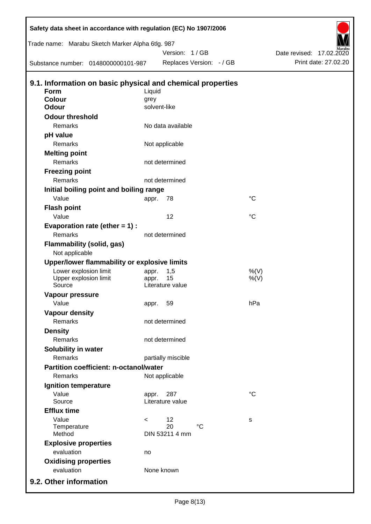| Safety data sheet in accordance with regulation (EC) No 1907/2006<br>Trade name: Marabu Sketch Marker Alpha 6tlg. 987 |         | Version: 1/GB            |                 | Date revised: 17.02.2020 |
|-----------------------------------------------------------------------------------------------------------------------|---------|--------------------------|-----------------|--------------------------|
| Substance number: 0148000000101-987                                                                                   |         | Replaces Version: - / GB |                 | Print date: 27.02.20     |
| 9.1. Information on basic physical and chemical properties                                                            |         |                          |                 |                          |
| Form                                                                                                                  | Liquid  |                          |                 |                          |
| <b>Colour</b>                                                                                                         | grey    |                          |                 |                          |
| <b>Odour</b>                                                                                                          |         | solvent-like             |                 |                          |
| <b>Odour threshold</b>                                                                                                |         |                          |                 |                          |
| Remarks                                                                                                               |         | No data available        |                 |                          |
| pH value                                                                                                              |         |                          |                 |                          |
| Remarks                                                                                                               |         | Not applicable           |                 |                          |
| <b>Melting point</b>                                                                                                  |         |                          |                 |                          |
| Remarks                                                                                                               |         | not determined           |                 |                          |
| <b>Freezing point</b>                                                                                                 |         |                          |                 |                          |
| Remarks                                                                                                               |         | not determined           |                 |                          |
| Initial boiling point and boiling range                                                                               |         |                          |                 |                          |
| Value                                                                                                                 | appr.   | 78                       | $\rm ^{\circ}C$ |                          |
| <b>Flash point</b>                                                                                                    |         |                          |                 |                          |
| Value                                                                                                                 |         | 12                       | $\rm ^{\circ}C$ |                          |
| Evaporation rate (ether $= 1$ ) :                                                                                     |         |                          |                 |                          |
| Remarks                                                                                                               |         | not determined           |                 |                          |
| <b>Flammability (solid, gas)</b><br>Not applicable                                                                    |         |                          |                 |                          |
| Upper/lower flammability or explosive limits                                                                          |         |                          |                 |                          |
| Lower explosion limit                                                                                                 | appr.   | 1,5                      | %(V)            |                          |
| Upper explosion limit                                                                                                 | appr.   | 15                       | $%$ (V)         |                          |
| Source                                                                                                                |         | Literature value         |                 |                          |
| <b>Vapour pressure</b>                                                                                                |         |                          |                 |                          |
| Value                                                                                                                 | appr.   | 59                       | hPa             |                          |
| <b>Vapour density</b>                                                                                                 |         |                          |                 |                          |
| Remarks                                                                                                               |         | not determined           |                 |                          |
| <b>Density</b>                                                                                                        |         |                          |                 |                          |
| <b>Remarks</b>                                                                                                        |         | not determined           |                 |                          |
| Solubility in water                                                                                                   |         |                          |                 |                          |
| Remarks                                                                                                               |         | partially miscible       |                 |                          |
| <b>Partition coefficient: n-octanol/water</b>                                                                         |         |                          |                 |                          |
| Remarks                                                                                                               |         | Not applicable           |                 |                          |
| Ignition temperature                                                                                                  |         |                          |                 |                          |
| Value<br>Source                                                                                                       | appr.   | 287<br>Literature value  | $\rm ^{\circ}C$ |                          |
|                                                                                                                       |         |                          |                 |                          |
| <b>Efflux time</b><br>Value                                                                                           |         |                          |                 |                          |
| Temperature                                                                                                           | $\,<\,$ | 12<br>20<br>$^{\circ}C$  | s               |                          |
| Method                                                                                                                |         | DIN 53211 4 mm           |                 |                          |
| <b>Explosive properties</b>                                                                                           |         |                          |                 |                          |
| evaluation                                                                                                            | no      |                          |                 |                          |
| <b>Oxidising properties</b>                                                                                           |         |                          |                 |                          |
| evaluation                                                                                                            |         | None known               |                 |                          |
| 9.2. Other information                                                                                                |         |                          |                 |                          |
|                                                                                                                       |         |                          |                 |                          |

D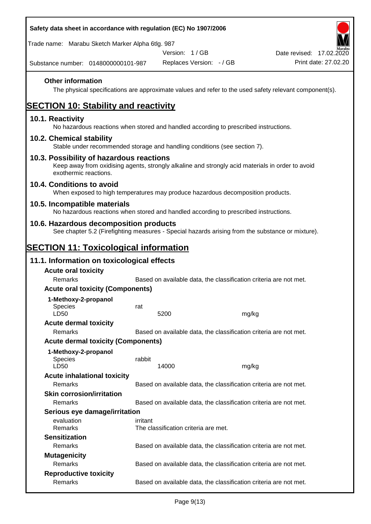| Safety data sheet in accordance with regulation (EC) No 1907/2006                                                                                                     |          |                                      |                                                                   |                          |
|-----------------------------------------------------------------------------------------------------------------------------------------------------------------------|----------|--------------------------------------|-------------------------------------------------------------------|--------------------------|
| Trade name: Marabu Sketch Marker Alpha 6tlg. 987                                                                                                                      |          |                                      |                                                                   |                          |
|                                                                                                                                                                       |          | Version: 1/GB                        |                                                                   | Date revised: 17.02.2020 |
| Substance number: 0148000000101-987                                                                                                                                   |          | Replaces Version: - / GB             |                                                                   | Print date: 27.02.20     |
| <b>Other information</b><br>The physical specifications are approximate values and refer to the used safety relevant component(s).                                    |          |                                      |                                                                   |                          |
| <b>SECTION 10: Stability and reactivity</b>                                                                                                                           |          |                                      |                                                                   |                          |
| 10.1. Reactivity<br>No hazardous reactions when stored and handled according to prescribed instructions.                                                              |          |                                      |                                                                   |                          |
| 10.2. Chemical stability<br>Stable under recommended storage and handling conditions (see section 7).                                                                 |          |                                      |                                                                   |                          |
| 10.3. Possibility of hazardous reactions<br>Keep away from oxidising agents, strongly alkaline and strongly acid materials in order to avoid<br>exothermic reactions. |          |                                      |                                                                   |                          |
| 10.4. Conditions to avoid<br>When exposed to high temperatures may produce hazardous decomposition products.                                                          |          |                                      |                                                                   |                          |
| 10.5. Incompatible materials<br>No hazardous reactions when stored and handled according to prescribed instructions.                                                  |          |                                      |                                                                   |                          |
| 10.6. Hazardous decomposition products<br>See chapter 5.2 (Firefighting measures - Special hazards arising from the substance or mixture).                            |          |                                      |                                                                   |                          |
| <u>SECTION 11: Toxicological information</u>                                                                                                                          |          |                                      |                                                                   |                          |
| 11.1. Information on toxicological effects                                                                                                                            |          |                                      |                                                                   |                          |
| <b>Acute oral toxicity</b>                                                                                                                                            |          |                                      |                                                                   |                          |
| Remarks                                                                                                                                                               |          |                                      | Based on available data, the classification criteria are not met. |                          |
| <b>Acute oral toxicity (Components)</b>                                                                                                                               |          |                                      |                                                                   |                          |
| 1-Methoxy-2-propanol                                                                                                                                                  |          |                                      |                                                                   |                          |
| Species<br>LD50                                                                                                                                                       | rat      | 5200                                 | mg/kg                                                             |                          |
| <b>Acute dermal toxicity</b>                                                                                                                                          |          |                                      |                                                                   |                          |
| Remarks                                                                                                                                                               |          |                                      | Based on available data, the classification criteria are not met. |                          |
| <b>Acute dermal toxicity (Components)</b>                                                                                                                             |          |                                      |                                                                   |                          |
| 1-Methoxy-2-propanol<br>Species<br>LD50                                                                                                                               | rabbit   | 14000                                | mg/kg                                                             |                          |
| <b>Acute inhalational toxicity</b>                                                                                                                                    |          |                                      |                                                                   |                          |
| Remarks                                                                                                                                                               |          |                                      | Based on available data, the classification criteria are not met. |                          |
| <b>Skin corrosion/irritation</b>                                                                                                                                      |          |                                      |                                                                   |                          |
| Remarks                                                                                                                                                               |          |                                      | Based on available data, the classification criteria are not met. |                          |
| Serious eye damage/irritation                                                                                                                                         |          |                                      |                                                                   |                          |
| evaluation<br>Remarks                                                                                                                                                 | irritant | The classification criteria are met. |                                                                   |                          |
| <b>Sensitization</b>                                                                                                                                                  |          |                                      |                                                                   |                          |
| Remarks                                                                                                                                                               |          |                                      | Based on available data, the classification criteria are not met. |                          |
| <b>Mutagenicity</b><br>Remarks                                                                                                                                        |          |                                      |                                                                   |                          |
| <b>Reproductive toxicity</b>                                                                                                                                          |          |                                      | Based on available data, the classification criteria are not met. |                          |
| Remarks                                                                                                                                                               |          |                                      | Based on available data, the classification criteria are not met. |                          |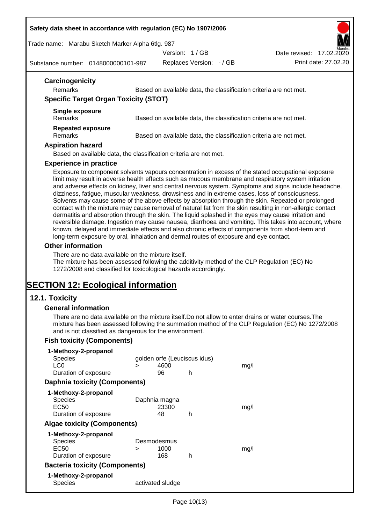#### **Safety data sheet in accordance with regulation (EC) No 1907/2006**

Trade name: Marabu Sketch Marker Alpha 6tlg. 987

Version: 1 / GB

Substance number: 0148000000101-987

Replaces Version: - / GB Print date: 27.02.20 Date revised: 17.02.2020

| Carcinogenicity                                                        |                                                                   |
|------------------------------------------------------------------------|-------------------------------------------------------------------|
| <b>Remarks</b>                                                         | Based on available data, the classification criteria are not met. |
| <b>Specific Target Organ Toxicity (STOT)</b>                           |                                                                   |
| Single exposure<br><b>Remarks</b>                                      | Based on available data, the classification criteria are not met. |
| <b>Repeated exposure</b><br><b>Remarks</b><br><b>Aspiration hazard</b> | Based on available data, the classification criteria are not met. |

Based on available data, the classification criteria are not met.

#### **Experience in practice**

Exposure to component solvents vapours concentration in excess of the stated occupational exposure limit may result in adverse health effects such as mucous membrane and respiratory system irritation and adverse effects on kidney, liver and central nervous system. Symptoms and signs include headache, dizziness, fatigue, muscular weakness, drowsiness and in extreme cases, loss of consciousness. Solvents may cause some of the above effects by absorption through the skin. Repeated or prolonged contact with the mixture may cause removal of natural fat from the skin resulting in non-allergic contact dermatitis and absorption through the skin. The liquid splashed in the eyes may cause irritation and reversible damage. Ingestion may cause nausea, diarrhoea and vomiting. This takes into account, where known, delayed and immediate effects and also chronic effects of components from short-term and long-term exposure by oral, inhalation and dermal routes of exposure and eye contact.

#### **Other information**

There are no data available on the mixture itself.

The mixture has been assessed following the additivity method of the CLP Regulation (EC) No 1272/2008 and classified for toxicological hazards accordingly.

# **SECTION 12: Ecological information**

# **12.1. Toxicity**

#### **General information**

There are no data available on the mixture itself.Do not allow to enter drains or water courses.The mixture has been assessed following the summation method of the CLP Regulation (EC) No 1272/2008 and is not classified as dangerous for the environment.

# **Fish toxicity (Components)**

| 1-Methoxy-2-propanol                  |             |                              |   |      |
|---------------------------------------|-------------|------------------------------|---|------|
| Species                               |             | golden orfe (Leuciscus idus) |   |      |
| LC <sub>0</sub>                       | ⋗           | 4600                         |   | mq/l |
| Duration of exposure                  |             | 96                           | h |      |
| <b>Daphnia toxicity (Components)</b>  |             |                              |   |      |
| 1-Methoxy-2-propanol                  |             |                              |   |      |
| <b>Species</b>                        |             | Daphnia magna                |   |      |
| EC50                                  |             | 23300                        |   | mq/1 |
| Duration of exposure                  |             | 48                           | h |      |
| <b>Algae toxicity (Components)</b>    |             |                              |   |      |
| 1-Methoxy-2-propanol                  |             |                              |   |      |
| Species                               | Desmodesmus |                              |   |      |
| EC50                                  | ⋗           | 1000                         |   | mq/1 |
| Duration of exposure                  |             | 168                          | h |      |
| <b>Bacteria toxicity (Components)</b> |             |                              |   |      |
| 1-Methoxy-2-propanol                  |             |                              |   |      |
| Species                               |             | activated sludge             |   |      |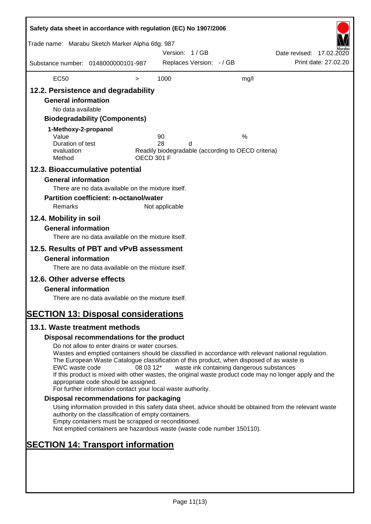| Safety data sheet in accordance with regulation (EC) No 1907/2006<br>Trade name: Marabu Sketch Marker Alpha 6tlg. 987                                                                                                                     |                                                                                                                                                                                                                                                                                                                                                                                                                                                                      |                   | Version: 1/GB  |                          |                                                         | Date revised: 17.02.2020 |                      |
|-------------------------------------------------------------------------------------------------------------------------------------------------------------------------------------------------------------------------------------------|----------------------------------------------------------------------------------------------------------------------------------------------------------------------------------------------------------------------------------------------------------------------------------------------------------------------------------------------------------------------------------------------------------------------------------------------------------------------|-------------------|----------------|--------------------------|---------------------------------------------------------|--------------------------|----------------------|
| Substance number: 0148000000101-987                                                                                                                                                                                                       |                                                                                                                                                                                                                                                                                                                                                                                                                                                                      |                   |                | Replaces Version: - / GB |                                                         |                          | Print date: 27.02.20 |
| <b>EC50</b>                                                                                                                                                                                                                               |                                                                                                                                                                                                                                                                                                                                                                                                                                                                      | $\, > \,$         | 1000           |                          | mg/l                                                    |                          |                      |
| 12.2. Persistence and degradability<br><b>General information</b><br>No data available<br>1-Methoxy-2-propanol<br>Value<br>Duration of test<br>evaluation                                                                                 | <b>Biodegradability (Components)</b>                                                                                                                                                                                                                                                                                                                                                                                                                                 |                   | 90<br>28       | d                        | %<br>Readily biodegradable (according to OECD criteria) |                          |                      |
| Method                                                                                                                                                                                                                                    |                                                                                                                                                                                                                                                                                                                                                                                                                                                                      | <b>OECD 301 F</b> |                |                          |                                                         |                          |                      |
| 12.3. Bioaccumulative potential<br><b>General information</b><br>Remarks<br>12.4. Mobility in soil<br><b>General information</b><br>12.5. Results of PBT and vPvB assessment<br><b>General information</b><br>12.6. Other adverse effects | There are no data available on the mixture itself.<br><b>Partition coefficient: n-octanol/water</b><br>There are no data available on the mixture itself.<br>There are no data available on the mixture itself.                                                                                                                                                                                                                                                      |                   | Not applicable |                          |                                                         |                          |                      |
| <b>General information</b>                                                                                                                                                                                                                | There are no data available on the mixture itself.                                                                                                                                                                                                                                                                                                                                                                                                                   |                   |                |                          |                                                         |                          |                      |
|                                                                                                                                                                                                                                           |                                                                                                                                                                                                                                                                                                                                                                                                                                                                      |                   |                |                          |                                                         |                          |                      |
| <b>SECTION 13: Disposal considerations</b><br>13.1. Waste treatment methods                                                                                                                                                               |                                                                                                                                                                                                                                                                                                                                                                                                                                                                      |                   |                |                          |                                                         |                          |                      |
|                                                                                                                                                                                                                                           | Disposal recommendations for the product                                                                                                                                                                                                                                                                                                                                                                                                                             |                   |                |                          |                                                         |                          |                      |
| EWC waste code                                                                                                                                                                                                                            | Do not allow to enter drains or water courses.<br>Wastes and emptied containers should be classified in accordance with relevant national regulation.<br>The European Waste Catalogue classification of this product, when disposed of as waste is<br>If this product is mixed with other wastes, the original waste product code may no longer apply and the<br>appropriate code should be assigned.<br>For further information contact your local waste authority. | 08 03 12*         |                |                          | waste ink containing dangerous substances               |                          |                      |
|                                                                                                                                                                                                                                           | Disposal recommendations for packaging                                                                                                                                                                                                                                                                                                                                                                                                                               |                   |                |                          |                                                         |                          |                      |
|                                                                                                                                                                                                                                           | Using information provided in this safety data sheet, advice should be obtained from the relevant waste<br>authority on the classification of empty containers.<br>Empty containers must be scrapped or reconditioned.<br>Not emptied containers are hazardous waste (waste code number 150110).                                                                                                                                                                     |                   |                |                          |                                                         |                          |                      |
| <b>SECTION 14: Transport information</b>                                                                                                                                                                                                  |                                                                                                                                                                                                                                                                                                                                                                                                                                                                      |                   |                |                          |                                                         |                          |                      |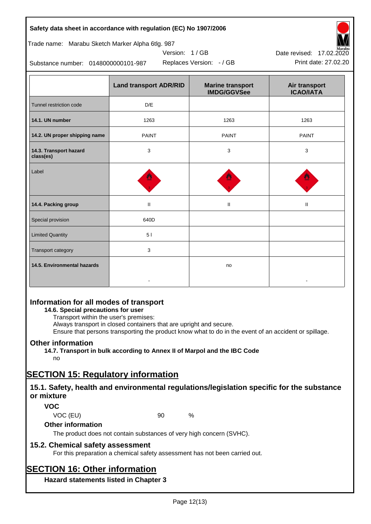| Safety data sheet in accordance with regulation (EC) No 1907/2006 |                               |                                               |                                   |  |  |
|-------------------------------------------------------------------|-------------------------------|-----------------------------------------------|-----------------------------------|--|--|
| Trade name: Marabu Sketch Marker Alpha 6tlg. 987                  |                               |                                               |                                   |  |  |
|                                                                   | Version: 1/GB                 |                                               | Date revised: 17.02.2020          |  |  |
| Substance number: 0148000000101-987                               | Print date: 27.02.20          |                                               |                                   |  |  |
|                                                                   | <b>Land transport ADR/RID</b> | <b>Marine transport</b><br><b>IMDG/GGVSee</b> | Air transport<br><b>ICAO/IATA</b> |  |  |
| Tunnel restriction code                                           | D/E                           |                                               |                                   |  |  |
| 14.1. UN number                                                   | 1263                          | 1263                                          | 1263                              |  |  |
| 14.2. UN proper shipping name                                     | <b>PAINT</b>                  | <b>PAINT</b>                                  | <b>PAINT</b>                      |  |  |
| 14.3. Transport hazard<br>class(es)                               | 3                             | 3                                             | 3                                 |  |  |
| Label                                                             |                               |                                               |                                   |  |  |
| 14.4. Packing group                                               | $\mathbf{H}$                  | Ш                                             | $\mathbf{H}$                      |  |  |
| Special provision                                                 | 640D                          |                                               |                                   |  |  |
| <b>Limited Quantity</b>                                           | 5 <sub>1</sub>                |                                               |                                   |  |  |
| <b>Transport category</b>                                         | 3                             |                                               |                                   |  |  |
| 14.5. Environmental hazards                                       |                               | no                                            |                                   |  |  |

# **Information for all modes of transport**

#### **14.6. Special precautions for user**

Transport within the user's premises:

Always transport in closed containers that are upright and secure.

-

Ensure that persons transporting the product know what to do in the event of an accident or spillage.

-

# **Other information**

**14.7. Transport in bulk according to Annex II of Marpol and the IBC Code**

# no

# **SECTION 15: Regulatory information**

# **15.1. Safety, health and environmental regulations/legislation specific for the substance or mixture**

# **VOC**

VOC (EU) 90 %

#### **Other information**

The product does not contain substances of very high concern (SVHC).

# **15.2. Chemical safety assessment**

For this preparation a chemical safety assessment has not been carried out.

# **SECTION 16: Other information**

**Hazard statements listed in Chapter 3**